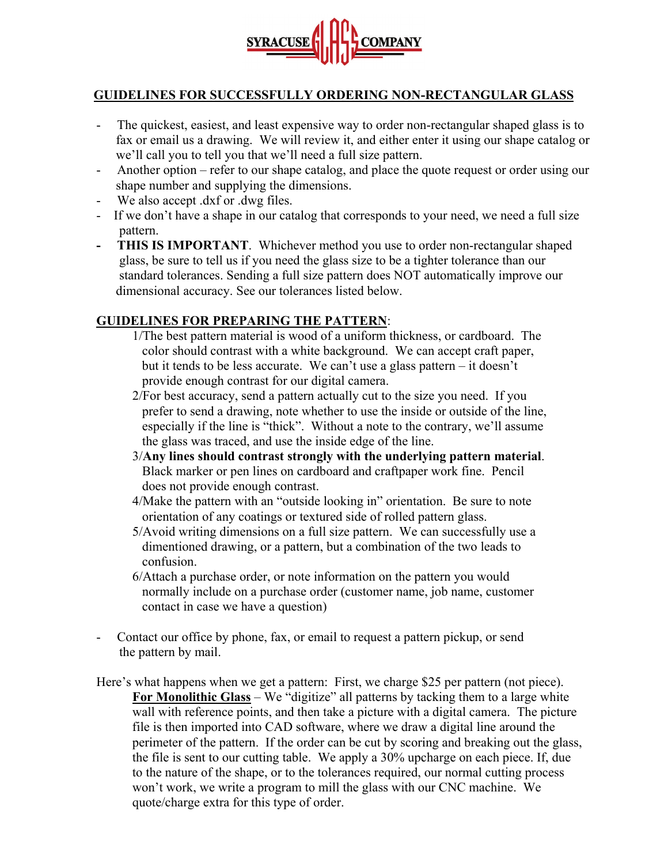

## **GUIDELINES FOR SUCCESSFULLY ORDERING NON-RECTANGULAR GLASS**

- The quickest, easiest, and least expensive way to order non-rectangular shaped glass is to fax or email us a drawing. We will review it, and either enter it using our shape catalog or we'll call you to tell you that we'll need a full size pattern.
- Another option refer to our shape catalog, and place the quote request or order using our shape number and supplying the dimensions.
- We also accept .dxf or .dwg files.
- If we don't have a shape in our catalog that corresponds to your need, we need a full size pattern.
- **THIS IS IMPORTANT**. Whichever method you use to order non-rectangular shaped glass, be sure to tell us if you need the glass size to be a tighter tolerance than our standard tolerances. Sending a full size pattern does NOT automatically improve our dimensional accuracy. See our tolerances listed below.

## **GUIDELINES FOR PREPARING THE PATTERN**:

- 1/The best pattern material is wood of a uniform thickness, or cardboard. The color should contrast with a white background. We can accept craft paper, but it tends to be less accurate. We can't use a glass pattern – it doesn't provide enough contrast for our digital camera.
- 2/For best accuracy, send a pattern actually cut to the size you need. If you prefer to send a drawing, note whether to use the inside or outside of the line, especially if the line is "thick". Without a note to the contrary, we'll assume the glass was traced, and use the inside edge of the line.
- 3/**Any lines should contrast strongly with the underlying pattern material**. Black marker or pen lines on cardboard and craftpaper work fine. Pencil does not provide enough contrast.
- 4/Make the pattern with an "outside looking in" orientation. Be sure to note orientation of any coatings or textured side of rolled pattern glass.
- 5/Avoid writing dimensions on a full size pattern. We can successfully use a dimentioned drawing, or a pattern, but a combination of the two leads to confusion.
- 6/Attach a purchase order, or note information on the pattern you would normally include on a purchase order (customer name, job name, customer contact in case we have a question)
- Contact our office by phone, fax, or email to request a pattern pickup, or send the pattern by mail.
- Here's what happens when we get a pattern: First, we charge \$25 per pattern (not piece). **For Monolithic Glass** – We "digitize" all patterns by tacking them to a large white wall with reference points, and then take a picture with a digital camera. The picture file is then imported into CAD software, where we draw a digital line around the perimeter of the pattern. If the order can be cut by scoring and breaking out the glass, the file is sent to our cutting table. We apply a 30% upcharge on each piece. If, due to the nature of the shape, or to the tolerances required, our normal cutting process won't work, we write a program to mill the glass with our CNC machine. We quote/charge extra for this type of order.